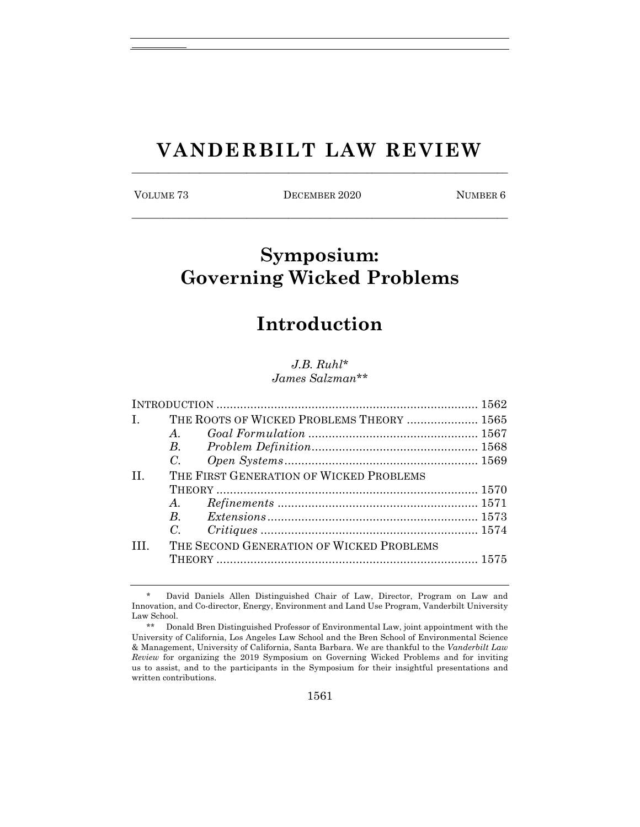# **VANDERBILT LAW REVIEW** \_\_\_\_\_\_\_\_\_\_\_\_\_\_\_\_\_\_\_\_\_\_\_\_\_\_\_\_\_\_\_\_\_\_\_\_\_\_\_\_\_\_\_\_\_\_\_\_\_\_\_\_\_\_\_\_\_\_\_\_\_\_\_\_\_\_\_\_\_\_\_\_

VOLUME 73 DECEMBER 2020 NUMBER 6 \_\_\_\_\_\_\_\_\_\_\_\_\_\_\_\_\_\_\_\_\_\_\_\_\_\_\_\_\_\_\_\_\_\_\_\_\_\_\_\_\_\_\_\_\_\_\_\_\_\_\_\_\_\_\_\_\_\_\_\_\_\_\_\_\_\_\_\_\_\_\_\_

# **Symposium: Governing Wicked Problems**

# **Introduction**

#### *J.B. Ruhl\* James Salzman\*\**

| $\mathbf{I}$ .  | THE ROOTS OF WICKED PROBLEMS THEORY  1565 |  |  |
|-----------------|-------------------------------------------|--|--|
|                 | $A_{\cdot}$                               |  |  |
|                 |                                           |  |  |
|                 | C.                                        |  |  |
| $\mathbf{H}$    | THE FIRST GENERATION OF WICKED PROBLEMS   |  |  |
|                 |                                           |  |  |
|                 | $A$ .                                     |  |  |
|                 |                                           |  |  |
|                 |                                           |  |  |
| TH <sub>1</sub> | THE SECOND GENERATION OF WICKED PROBLEMS  |  |  |
|                 |                                           |  |  |

David Daniels Allen Distinguished Chair of Law, Director, Program on Law and Innovation, and Co-director, Energy, Environment and Land Use Program, Vanderbilt University Law School.

<sup>\*\*</sup> Donald Bren Distinguished Professor of Environmental Law, joint appointment with the University of California, Los Angeles Law School and the Bren School of Environmental Science & Management, University of California, Santa Barbara. We are thankful to the *Vanderbilt Law Review* for organizing the 2019 Symposium on Governing Wicked Problems and for inviting us to assist, and to the participants in the Symposium for their insightful presentations and written contributions.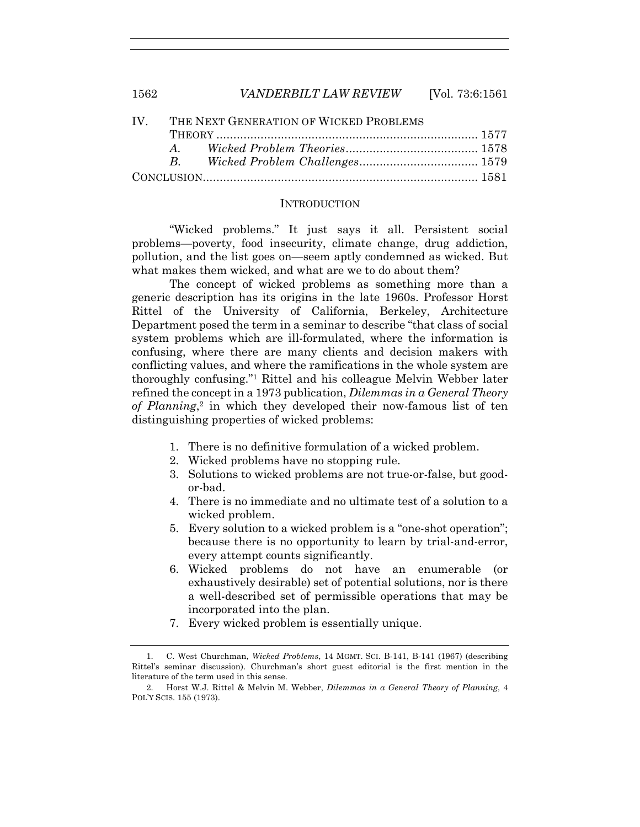| IV. THE NEXT GENERATION OF WICKED PROBLEMS |  |  |  |
|--------------------------------------------|--|--|--|
|                                            |  |  |  |
|                                            |  |  |  |
|                                            |  |  |  |
|                                            |  |  |  |

#### INTRODUCTION

"Wicked problems." It just says it all. Persistent social problems—poverty, food insecurity, climate change, drug addiction, pollution, and the list goes on—seem aptly condemned as wicked. But what makes them wicked, and what are we to do about them?

The concept of wicked problems as something more than a generic description has its origins in the late 1960s. Professor Horst Rittel of the University of California, Berkeley, Architecture Department posed the term in a seminar to describe "that class of social system problems which are ill-formulated, where the information is confusing, where there are many clients and decision makers with conflicting values, and where the ramifications in the whole system are thoroughly confusing."1 Rittel and his colleague Melvin Webber later refined the concept in a 1973 publication, *Dilemmas in a General Theory of Planning*, <sup>2</sup> in which they developed their now-famous list of ten distinguishing properties of wicked problems:

- 1. There is no definitive formulation of a wicked problem.
- 2. Wicked problems have no stopping rule.
- 3. Solutions to wicked problems are not true-or-false, but goodor-bad.
- 4. There is no immediate and no ultimate test of a solution to a wicked problem.
- 5. Every solution to a wicked problem is a "one-shot operation"; because there is no opportunity to learn by trial-and-error, every attempt counts significantly.
- 6. Wicked problems do not have an enumerable (or exhaustively desirable) set of potential solutions, nor is there a well-described set of permissible operations that may be incorporated into the plan.
- 7. Every wicked problem is essentially unique.

<sup>1.</sup> C. West Churchman, *Wicked Problems*, 14 MGMT. SCI. B-141, B-141 (1967) (describing Rittel's seminar discussion). Churchman's short guest editorial is the first mention in the literature of the term used in this sense.

<sup>2.</sup> Horst W.J. Rittel & Melvin M. Webber, *Dilemmas in a General Theory of Planning*, 4 POL'Y SCIS. 155 (1973).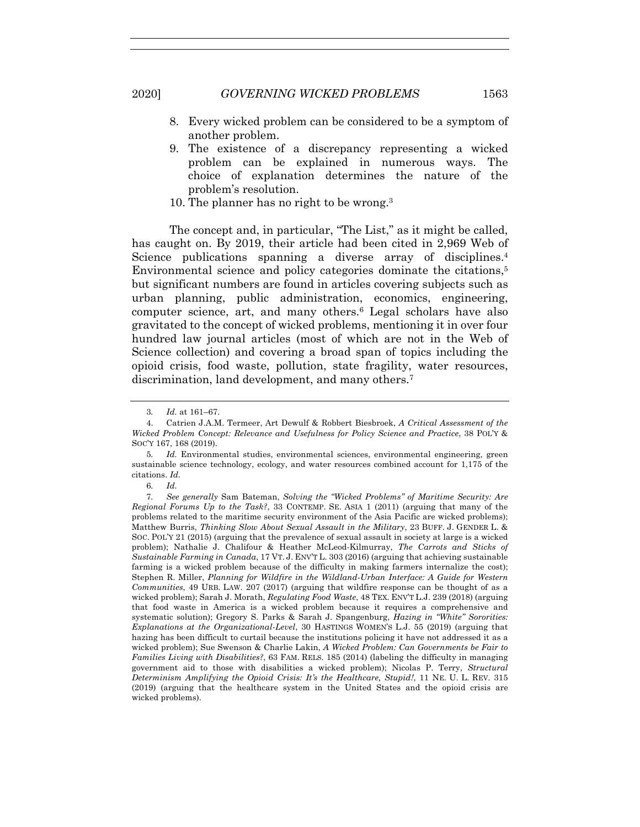- 
- 8. Every wicked problem can be considered to be a symptom of another problem.
- 9. The existence of a discrepancy representing a wicked problem can be explained in numerous ways. The choice of explanation determines the nature of the problem's resolution.
- 10. The planner has no right to be wrong.3

The concept and, in particular, "The List," as it might be called, has caught on. By 2019, their article had been cited in 2,969 Web of Science publications spanning a diverse array of disciplines.<sup>4</sup> Environmental science and policy categories dominate the citations,<sup>5</sup> but significant numbers are found in articles covering subjects such as urban planning, public administration, economics, engineering, computer science, art, and many others.6 Legal scholars have also gravitated to the concept of wicked problems, mentioning it in over four hundred law journal articles (most of which are not in the Web of Science collection) and covering a broad span of topics including the opioid crisis, food waste, pollution, state fragility, water resources, discrimination, land development, and many others.<sup>7</sup>

6*. Id.*

<sup>3</sup>*. Id.* at 161–67.

<sup>4.</sup> Catrien J.A.M. Termeer, Art Dewulf & Robbert Biesbroek, *A Critical Assessment of the Wicked Problem Concept: Relevance and Usefulness for Policy Science and Practice*, 38 POL'Y & SOC'Y 167, 168 (2019).

<sup>5</sup>*. Id.* Environmental studies, environmental sciences, environmental engineering, green sustainable science technology, ecology, and water resources combined account for 1,175 of the citations. *Id.*

<sup>7</sup>*. See generally* Sam Bateman, *Solving the "Wicked Problems" of Maritime Security: Are Regional Forums Up to the Task?*, 33 CONTEMP. SE. ASIA 1 (2011) (arguing that many of the problems related to the maritime security environment of the Asia Pacific are wicked problems); Matthew Burris, *Thinking Slow About Sexual Assault in the Military*, 23 BUFF. J. GENDER L. & SOC. POL'Y 21 (2015) (arguing that the prevalence of sexual assault in society at large is a wicked problem); Nathalie J. Chalifour & Heather McLeod-Kilmurray, *The Carrots and Sticks of Sustainable Farming in Canada*, 17 VT. J. ENV'T L. 303 (2016) (arguing that achieving sustainable farming is a wicked problem because of the difficulty in making farmers internalize the cost); Stephen R. Miller, *Planning for Wildfire in the Wildland-Urban Interface: A Guide for Western Communities*, 49 URB. LAW. 207 (2017) (arguing that wildfire response can be thought of as a wicked problem); Sarah J. Morath, *Regulating Food Waste*, 48 TEX. ENV'T L.J. 239 (2018) (arguing that food waste in America is a wicked problem because it requires a comprehensive and systematic solution); Gregory S. Parks & Sarah J. Spangenburg, *Hazing in "White" Sororities: Explanations at the Organizational-Level*, 30 HASTINGS WOMEN'S L.J. 55 (2019) (arguing that hazing has been difficult to curtail because the institutions policing it have not addressed it as a wicked problem); Sue Swenson & Charlie Lakin, *A Wicked Problem: Can Governments be Fair to Families Living with Disabilities?*, 63 FAM. RELS. 185 (2014) (labeling the difficulty in managing government aid to those with disabilities a wicked problem); Nicolas P. Terry, *Structural Determinism Amplifying the Opioid Crisis: It's the Healthcare, Stupid!*, 11 NE. U. L. REV. 315 (2019) (arguing that the healthcare system in the United States and the opioid crisis are wicked problems).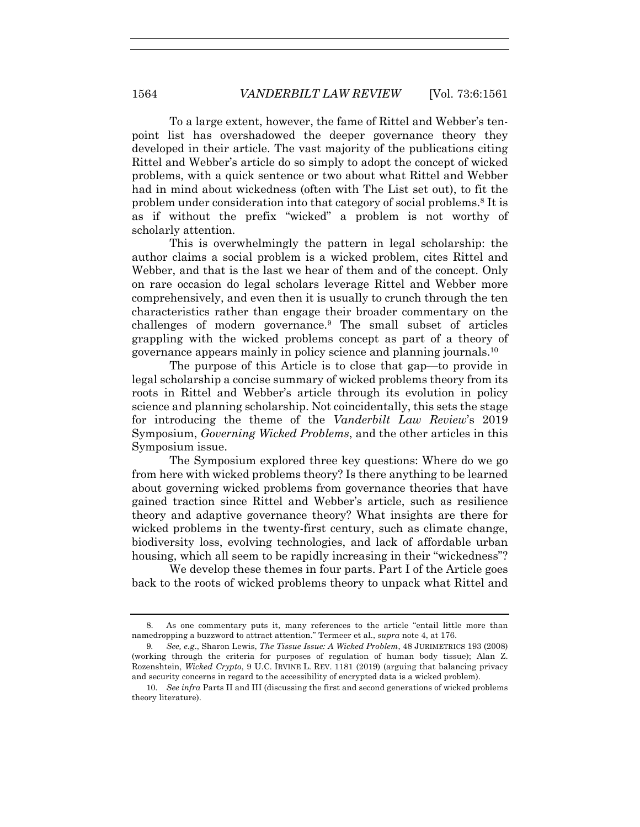To a large extent, however, the fame of Rittel and Webber's tenpoint list has overshadowed the deeper governance theory they developed in their article. The vast majority of the publications citing Rittel and Webber's article do so simply to adopt the concept of wicked problems, with a quick sentence or two about what Rittel and Webber had in mind about wickedness (often with The List set out), to fit the problem under consideration into that category of social problems.8 It is as if without the prefix "wicked" a problem is not worthy of scholarly attention.

This is overwhelmingly the pattern in legal scholarship: the author claims a social problem is a wicked problem, cites Rittel and Webber, and that is the last we hear of them and of the concept. Only on rare occasion do legal scholars leverage Rittel and Webber more comprehensively, and even then it is usually to crunch through the ten characteristics rather than engage their broader commentary on the challenges of modern governance.9 The small subset of articles grappling with the wicked problems concept as part of a theory of governance appears mainly in policy science and planning journals.10

The purpose of this Article is to close that gap—to provide in legal scholarship a concise summary of wicked problems theory from its roots in Rittel and Webber's article through its evolution in policy science and planning scholarship. Not coincidentally, this sets the stage for introducing the theme of the *Vanderbilt Law Review*'s 2019 Symposium, *Governing Wicked Problems*, and the other articles in this Symposium issue.

The Symposium explored three key questions: Where do we go from here with wicked problems theory? Is there anything to be learned about governing wicked problems from governance theories that have gained traction since Rittel and Webber's article, such as resilience theory and adaptive governance theory? What insights are there for wicked problems in the twenty-first century, such as climate change, biodiversity loss, evolving technologies, and lack of affordable urban housing, which all seem to be rapidly increasing in their "wickedness"?

We develop these themes in four parts. Part I of the Article goes back to the roots of wicked problems theory to unpack what Rittel and

<sup>8.</sup> As one commentary puts it, many references to the article "entail little more than namedropping a buzzword to attract attention." Termeer et al., *supra* note 4, at 176.

<sup>9</sup>*. See, e.g*., Sharon Lewis, *The Tissue Issue: A Wicked Problem*, 48 JURIMETRICS 193 (2008) (working through the criteria for purposes of regulation of human body tissue); Alan Z. Rozenshtein, *Wicked Crypto*, 9 U.C. IRVINE L. REV. 1181 (2019) (arguing that balancing privacy and security concerns in regard to the accessibility of encrypted data is a wicked problem).

<sup>10</sup>*. See infra* Parts II and III (discussing the first and second generations of wicked problems theory literature).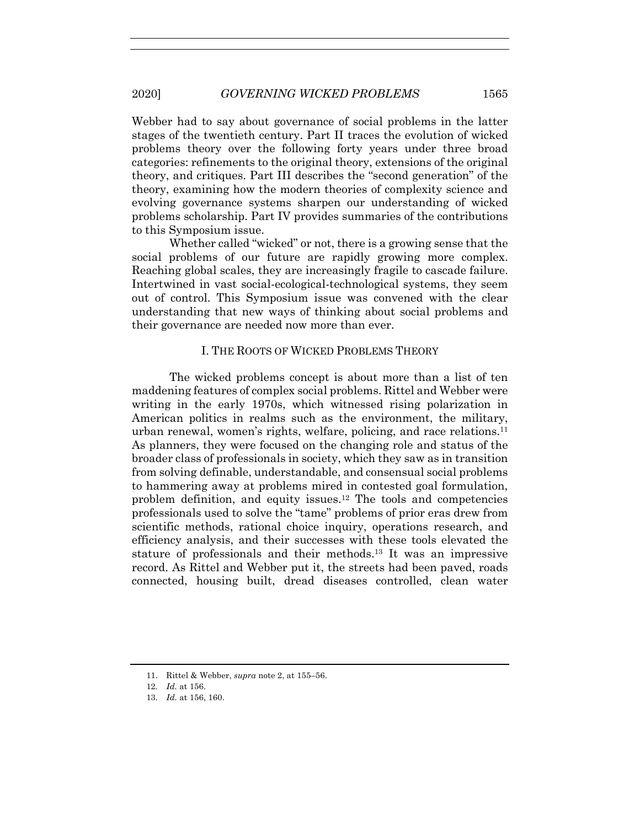Webber had to say about governance of social problems in the latter stages of the twentieth century. Part II traces the evolution of wicked problems theory over the following forty years under three broad categories: refinements to the original theory, extensions of the original theory, and critiques. Part III describes the "second generation" of the theory, examining how the modern theories of complexity science and evolving governance systems sharpen our understanding of wicked problems scholarship. Part IV provides summaries of the contributions to this Symposium issue.

Whether called "wicked" or not, there is a growing sense that the social problems of our future are rapidly growing more complex. Reaching global scales, they are increasingly fragile to cascade failure. Intertwined in vast social-ecological-technological systems, they seem out of control. This Symposium issue was convened with the clear understanding that new ways of thinking about social problems and their governance are needed now more than ever.

# I. THE ROOTS OF WICKED PROBLEMS THEORY

The wicked problems concept is about more than a list of ten maddening features of complex social problems. Rittel and Webber were writing in the early 1970s, which witnessed rising polarization in American politics in realms such as the environment, the military, urban renewal, women's rights, welfare, policing, and race relations.11 As planners, they were focused on the changing role and status of the broader class of professionals in society, which they saw as in transition from solving definable, understandable, and consensual social problems to hammering away at problems mired in contested goal formulation, problem definition, and equity issues.<sup>12</sup> The tools and competencies professionals used to solve the "tame" problems of prior eras drew from scientific methods, rational choice inquiry, operations research, and efficiency analysis, and their successes with these tools elevated the stature of professionals and their methods.13 It was an impressive record. As Rittel and Webber put it, the streets had been paved, roads connected, housing built, dread diseases controlled, clean water

<sup>11.</sup> Rittel & Webber, *supra* note 2, at 155–56.

<sup>12</sup>*. Id.* at 156.

<sup>13</sup>*. Id.* at 156, 160.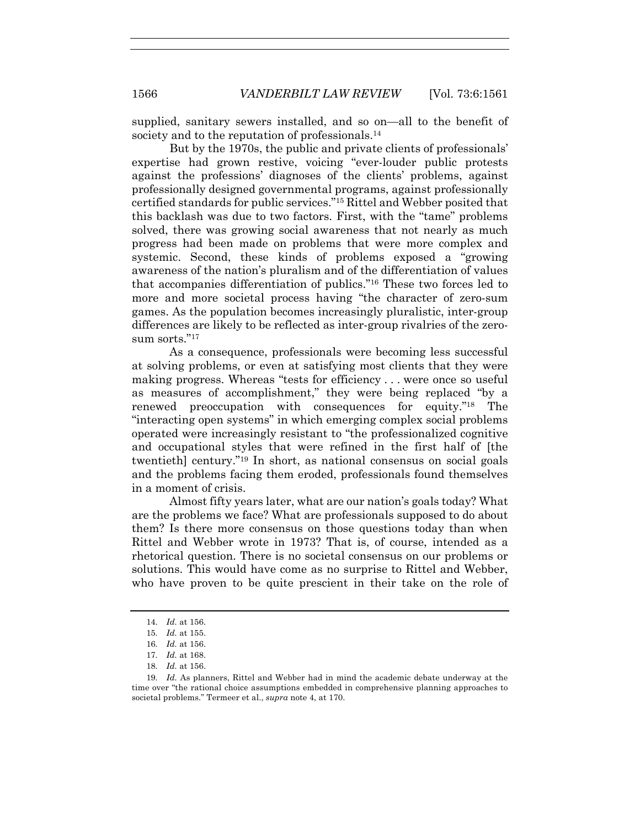supplied, sanitary sewers installed, and so on—all to the benefit of society and to the reputation of professionals.<sup>14</sup>

But by the 1970s, the public and private clients of professionals' expertise had grown restive, voicing "ever-louder public protests against the professions' diagnoses of the clients' problems, against professionally designed governmental programs, against professionally certified standards for public services."15 Rittel and Webber posited that this backlash was due to two factors. First, with the "tame" problems solved, there was growing social awareness that not nearly as much progress had been made on problems that were more complex and systemic. Second, these kinds of problems exposed a "growing awareness of the nation's pluralism and of the differentiation of values that accompanies differentiation of publics."16 These two forces led to more and more societal process having "the character of zero-sum games. As the population becomes increasingly pluralistic, inter-group differences are likely to be reflected as inter-group rivalries of the zerosum sorts $"17$ 

As a consequence, professionals were becoming less successful at solving problems, or even at satisfying most clients that they were making progress. Whereas "tests for efficiency . . . were once so useful as measures of accomplishment," they were being replaced "by a renewed preoccupation with consequences for equity."18 The "interacting open systems" in which emerging complex social problems operated were increasingly resistant to "the professionalized cognitive and occupational styles that were refined in the first half of [the twentieth] century."19 In short, as national consensus on social goals and the problems facing them eroded, professionals found themselves in a moment of crisis.

Almost fifty years later, what are our nation's goals today? What are the problems we face? What are professionals supposed to do about them? Is there more consensus on those questions today than when Rittel and Webber wrote in 1973? That is, of course, intended as a rhetorical question. There is no societal consensus on our problems or solutions. This would have come as no surprise to Rittel and Webber, who have proven to be quite prescient in their take on the role of

18*. Id.* at 156.

<sup>14</sup>*. Id.* at 156.

<sup>15</sup>*. Id.* at 155.

<sup>16</sup>*. Id.* at 156.

<sup>17</sup>*. Id.* at 168.

<sup>19</sup>*. Id.* As planners, Rittel and Webber had in mind the academic debate underway at the time over "the rational choice assumptions embedded in comprehensive planning approaches to societal problems." Termeer et al., *supra* note 4, at 170.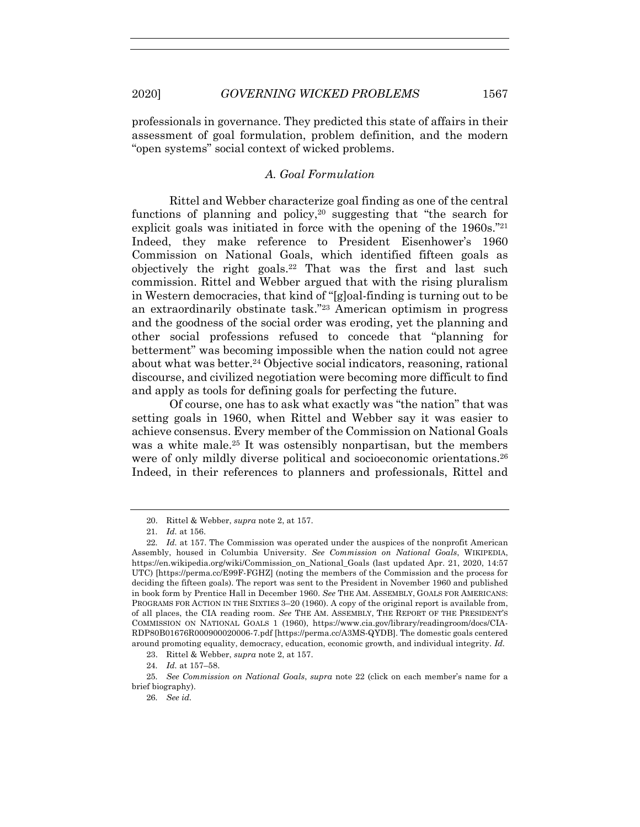professionals in governance. They predicted this state of affairs in their assessment of goal formulation, problem definition, and the modern "open systems" social context of wicked problems.

## *A. Goal Formulation*

Rittel and Webber characterize goal finding as one of the central functions of planning and policy,20 suggesting that "the search for explicit goals was initiated in force with the opening of the 1960s."21 Indeed, they make reference to President Eisenhower's 1960 Commission on National Goals, which identified fifteen goals as objectively the right goals.<sup>22</sup> That was the first and last such commission. Rittel and Webber argued that with the rising pluralism in Western democracies, that kind of "[g]oal-finding is turning out to be an extraordinarily obstinate task."23 American optimism in progress and the goodness of the social order was eroding, yet the planning and other social professions refused to concede that "planning for betterment" was becoming impossible when the nation could not agree about what was better.<sup>24</sup> Objective social indicators, reasoning, rational discourse, and civilized negotiation were becoming more difficult to find and apply as tools for defining goals for perfecting the future.

Of course, one has to ask what exactly was "the nation" that was setting goals in 1960, when Rittel and Webber say it was easier to achieve consensus. Every member of the Commission on National Goals was a white male. <sup>25</sup> It was ostensibly nonpartisan, but the members were of only mildly diverse political and socioeconomic orientations.26 Indeed, in their references to planners and professionals, Rittel and

24*. Id.* at 157–58.

26*. See id.*

<sup>20.</sup> Rittel & Webber, *supra* note 2, at 157.

<sup>21</sup>*. Id.* at 156.

<sup>22</sup>*. Id.* at 157. The Commission was operated under the auspices of the nonprofit American Assembly, housed in Columbia University. *See Commission on National Goals*, WIKIPEDIA, https://en.wikipedia.org/wiki/Commission\_on\_National\_Goals (last updated Apr. 21, 2020, 14:57) UTC) [https://perma.cc/E99F-FGHZ] (noting the members of the Commission and the process for deciding the fifteen goals). The report was sent to the President in November 1960 and published in book form by Prentice Hall in December 1960. *See* THE AM. ASSEMBLY, GOALS FOR AMERICANS: PROGRAMS FOR ACTION IN THE SIXTIES 3–20 (1960). A copy of the original report is available from, of all places, the CIA reading room. *See* THE AM. ASSEMBLY, THE REPORT OF THE PRESIDENT'S COMMISSION ON NATIONAL GOALS 1 (1960), https://www.cia.gov/library/readingroom/docs/CIA-RDP80B01676R000900020006-7.pdf [https://perma.cc/A3MS-QYDB]. The domestic goals centered around promoting equality, democracy, education, economic growth, and individual integrity. *Id.*

<sup>23.</sup> Rittel & Webber, *supra* note 2, at 157.

<sup>25</sup>*. See Commission on National Goals*, *supra* note 22 (click on each member's name for a brief biography).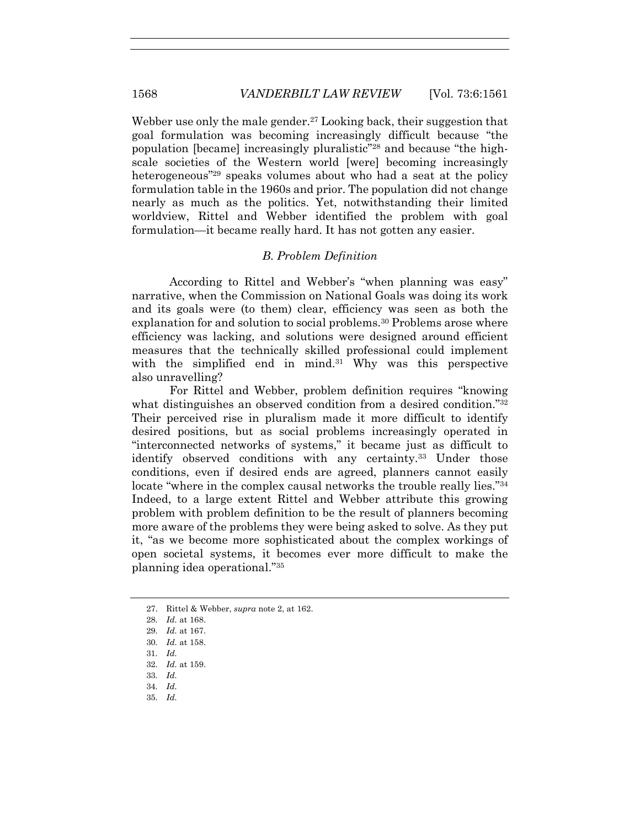Webber use only the male gender.<sup>27</sup> Looking back, their suggestion that goal formulation was becoming increasingly difficult because "the population [became] increasingly pluralistic"28 and because "the highscale societies of the Western world [were] becoming increasingly heterogeneous<sup>"29</sup> speaks volumes about who had a seat at the policy formulation table in the 1960s and prior. The population did not change nearly as much as the politics. Yet, notwithstanding their limited worldview, Rittel and Webber identified the problem with goal formulation—it became really hard. It has not gotten any easier.

## *B. Problem Definition*

According to Rittel and Webber's "when planning was easy" narrative, when the Commission on National Goals was doing its work and its goals were (to them) clear, efficiency was seen as both the explanation for and solution to social problems.30 Problems arose where efficiency was lacking, and solutions were designed around efficient measures that the technically skilled professional could implement with the simplified end in mind.<sup>31</sup> Why was this perspective also unravelling?

For Rittel and Webber, problem definition requires "knowing what distinguishes an observed condition from a desired condition."32 Their perceived rise in pluralism made it more difficult to identify desired positions, but as social problems increasingly operated in "interconnected networks of systems," it became just as difficult to identify observed conditions with any certainty.<sup>33</sup> Under those conditions, even if desired ends are agreed, planners cannot easily locate "where in the complex causal networks the trouble really lies."<sup>34</sup> Indeed, to a large extent Rittel and Webber attribute this growing problem with problem definition to be the result of planners becoming more aware of the problems they were being asked to solve. As they put it, "as we become more sophisticated about the complex workings of open societal systems, it becomes ever more difficult to make the planning idea operational."35

- 30*. Id.* at 158.
- 31*. Id.*
- 32*. Id.* at 159.
- 33*. Id.*
- 34*. Id.*
- 35*. Id.*

<sup>27.</sup> Rittel & Webber, *supra* note 2, at 162.

<sup>28</sup>*. Id.* at 168.

<sup>29</sup>*. Id.* at 167.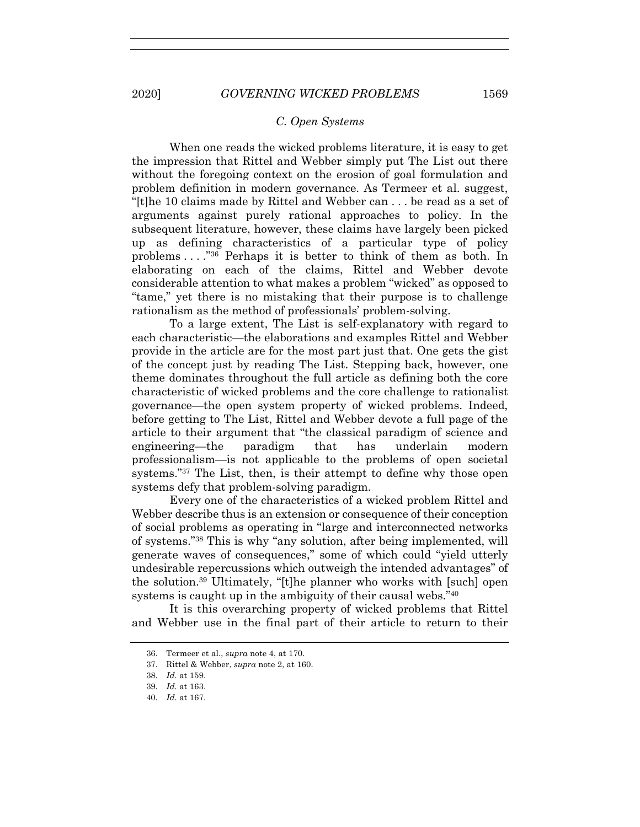#### *C. Open Systems*

When one reads the wicked problems literature, it is easy to get the impression that Rittel and Webber simply put The List out there without the foregoing context on the erosion of goal formulation and problem definition in modern governance. As Termeer et al. suggest, "[t]he 10 claims made by Rittel and Webber can . . . be read as a set of arguments against purely rational approaches to policy. In the subsequent literature, however, these claims have largely been picked up as defining characteristics of a particular type of policy problems . . . ."36 Perhaps it is better to think of them as both. In elaborating on each of the claims, Rittel and Webber devote considerable attention to what makes a problem "wicked" as opposed to "tame," yet there is no mistaking that their purpose is to challenge rationalism as the method of professionals' problem-solving.

To a large extent, The List is self-explanatory with regard to each characteristic—the elaborations and examples Rittel and Webber provide in the article are for the most part just that. One gets the gist of the concept just by reading The List. Stepping back, however, one theme dominates throughout the full article as defining both the core characteristic of wicked problems and the core challenge to rationalist governance—the open system property of wicked problems. Indeed, before getting to The List, Rittel and Webber devote a full page of the article to their argument that "the classical paradigm of science and engineering—the paradigm that has underlain modern professionalism—is not applicable to the problems of open societal systems."37 The List, then, is their attempt to define why those open systems defy that problem-solving paradigm.

Every one of the characteristics of a wicked problem Rittel and Webber describe thus is an extension or consequence of their conception of social problems as operating in "large and interconnected networks of systems."38 This is why "any solution, after being implemented, will generate waves of consequences," some of which could "yield utterly undesirable repercussions which outweigh the intended advantages" of the solution.39 Ultimately, "[t]he planner who works with [such] open systems is caught up in the ambiguity of their causal webs."<sup>40</sup>

It is this overarching property of wicked problems that Rittel and Webber use in the final part of their article to return to their

<sup>36.</sup> Termeer et al., *supra* note 4, at 170.

<sup>37.</sup> Rittel & Webber, *supra* note 2, at 160.

<sup>38</sup>*. Id.* at 159.

<sup>39</sup>*. Id.* at 163.

<sup>40</sup>*. Id.* at 167.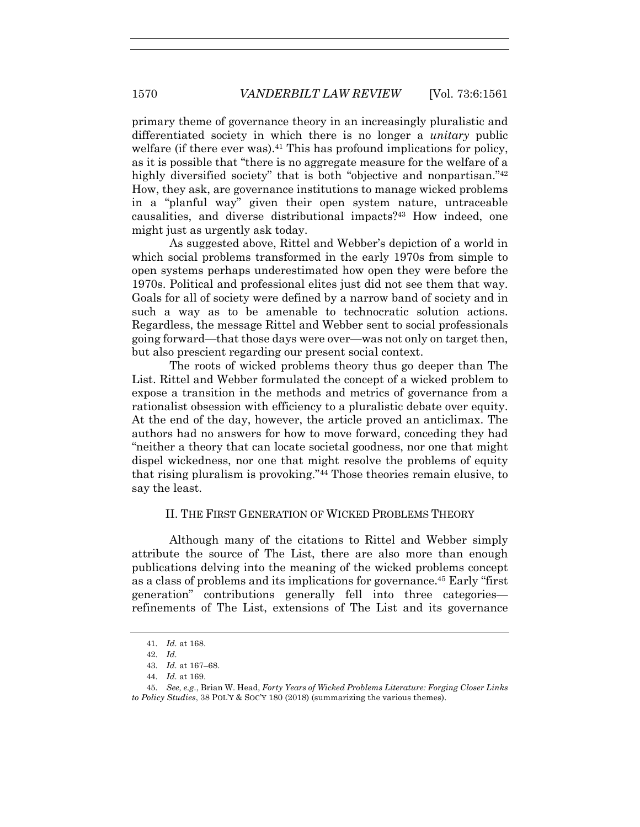primary theme of governance theory in an increasingly pluralistic and differentiated society in which there is no longer a *unitary* public welfare (if there ever was).<sup>41</sup> This has profound implications for policy, as it is possible that "there is no aggregate measure for the welfare of a highly diversified society" that is both "objective and nonpartisan."<sup>42</sup> How, they ask, are governance institutions to manage wicked problems in a "planful way" given their open system nature, untraceable causalities, and diverse distributional impacts?43 How indeed, one might just as urgently ask today.

As suggested above, Rittel and Webber's depiction of a world in which social problems transformed in the early 1970s from simple to open systems perhaps underestimated how open they were before the 1970s. Political and professional elites just did not see them that way. Goals for all of society were defined by a narrow band of society and in such a way as to be amenable to technocratic solution actions. Regardless, the message Rittel and Webber sent to social professionals going forward—that those days were over—was not only on target then, but also prescient regarding our present social context.

The roots of wicked problems theory thus go deeper than The List. Rittel and Webber formulated the concept of a wicked problem to expose a transition in the methods and metrics of governance from a rationalist obsession with efficiency to a pluralistic debate over equity. At the end of the day, however, the article proved an anticlimax. The authors had no answers for how to move forward, conceding they had "neither a theory that can locate societal goodness, nor one that might dispel wickedness, nor one that might resolve the problems of equity that rising pluralism is provoking."44 Those theories remain elusive, to say the least.

# II. THE FIRST GENERATION OF WICKED PROBLEMS THEORY

Although many of the citations to Rittel and Webber simply attribute the source of The List, there are also more than enough publications delving into the meaning of the wicked problems concept as a class of problems and its implications for governance.45 Early "first generation" contributions generally fell into three categories refinements of The List, extensions of The List and its governance

<sup>41</sup>*. Id.* at 168.

<sup>42</sup>*. Id.*

<sup>43</sup>*. Id.* at 167–68.

<sup>44</sup>*. Id.* at 169.

<sup>45</sup>*. See, e.g.*, Brian W. Head, *Forty Years of Wicked Problems Literature: Forging Closer Links to Policy Studies*, 38 POL'Y & SOC'Y 180 (2018) (summarizing the various themes).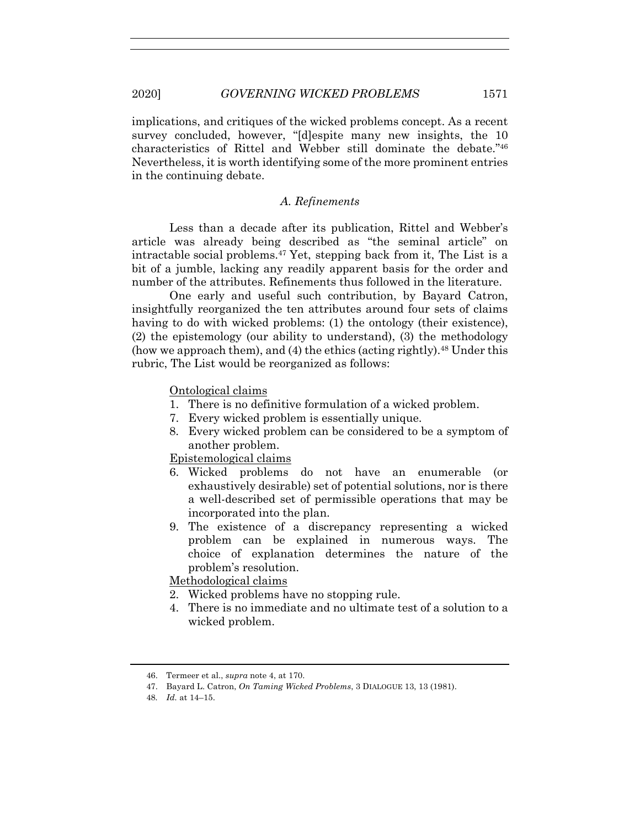implications, and critiques of the wicked problems concept. As a recent survey concluded, however, "[d]espite many new insights, the 10 characteristics of Rittel and Webber still dominate the debate."46 Nevertheless, it is worth identifying some of the more prominent entries in the continuing debate.

### *A. Refinements*

Less than a decade after its publication, Rittel and Webber's article was already being described as "the seminal article" on intractable social problems.47 Yet, stepping back from it, The List is a bit of a jumble, lacking any readily apparent basis for the order and number of the attributes. Refinements thus followed in the literature.

One early and useful such contribution, by Bayard Catron, insightfully reorganized the ten attributes around four sets of claims having to do with wicked problems: (1) the ontology (their existence), (2) the epistemology (our ability to understand), (3) the methodology (how we approach them), and (4) the ethics (acting rightly).48 Under this rubric, The List would be reorganized as follows:

Ontological claims

- 1. There is no definitive formulation of a wicked problem.
- 7. Every wicked problem is essentially unique.
- 8. Every wicked problem can be considered to be a symptom of another problem.

Epistemological claims

- 6. Wicked problems do not have an enumerable (or exhaustively desirable) set of potential solutions, nor is there a well-described set of permissible operations that may be incorporated into the plan.
- 9. The existence of a discrepancy representing a wicked problem can be explained in numerous ways. The choice of explanation determines the nature of the problem's resolution.

Methodological claims

- 2. Wicked problems have no stopping rule.
- 4. There is no immediate and no ultimate test of a solution to a wicked problem.

<sup>46.</sup> Termeer et al., *supra* note 4, at 170.

<sup>47.</sup> Bayard L. Catron, *On Taming Wicked Problems*, 3 DIALOGUE 13, 13 (1981).

<sup>48</sup>*. Id.* at 14–15.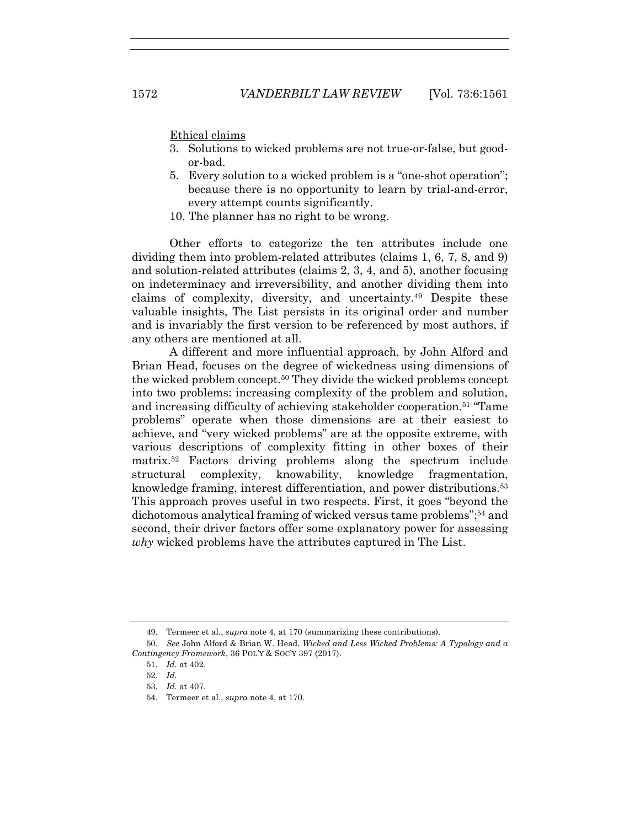Ethical claims

- 3. Solutions to wicked problems are not true-or-false, but goodor-bad.
- 5. Every solution to a wicked problem is a "one-shot operation"; because there is no opportunity to learn by trial-and-error, every attempt counts significantly.
- 10. The planner has no right to be wrong.

Other efforts to categorize the ten attributes include one dividing them into problem-related attributes (claims 1, 6, 7, 8, and 9) and solution-related attributes (claims 2, 3, 4, and 5), another focusing on indeterminacy and irreversibility, and another dividing them into claims of complexity, diversity, and uncertainty.49 Despite these valuable insights, The List persists in its original order and number and is invariably the first version to be referenced by most authors, if any others are mentioned at all.

A different and more influential approach, by John Alford and Brian Head, focuses on the degree of wickedness using dimensions of the wicked problem concept.50 They divide the wicked problems concept into two problems: increasing complexity of the problem and solution, and increasing difficulty of achieving stakeholder cooperation.51 "Tame problems" operate when those dimensions are at their easiest to achieve, and "very wicked problems" are at the opposite extreme, with various descriptions of complexity fitting in other boxes of their matrix.52 Factors driving problems along the spectrum include structural complexity, knowability, knowledge fragmentation, knowledge framing, interest differentiation, and power distributions.53 This approach proves useful in two respects. First, it goes "beyond the dichotomous analytical framing of wicked versus tame problems";<sup>54</sup> and second, their driver factors offer some explanatory power for assessing *why* wicked problems have the attributes captured in The List.

<sup>49.</sup> Termeer et al., *supra* note 4, at 170 (summarizing these contributions).

<sup>50</sup>*. See* John Alford & Brian W. Head, *Wicked and Less Wicked Problems: A Typology and a Contingency Framework*, 36 POL'Y & SOC'Y 397 (2017).

<sup>51</sup>*. Id.* at 402.

<sup>52</sup>*. Id.*

<sup>53</sup>*. Id.* at 407.

<sup>54.</sup> Termeer et al., *supra* note 4, at 170.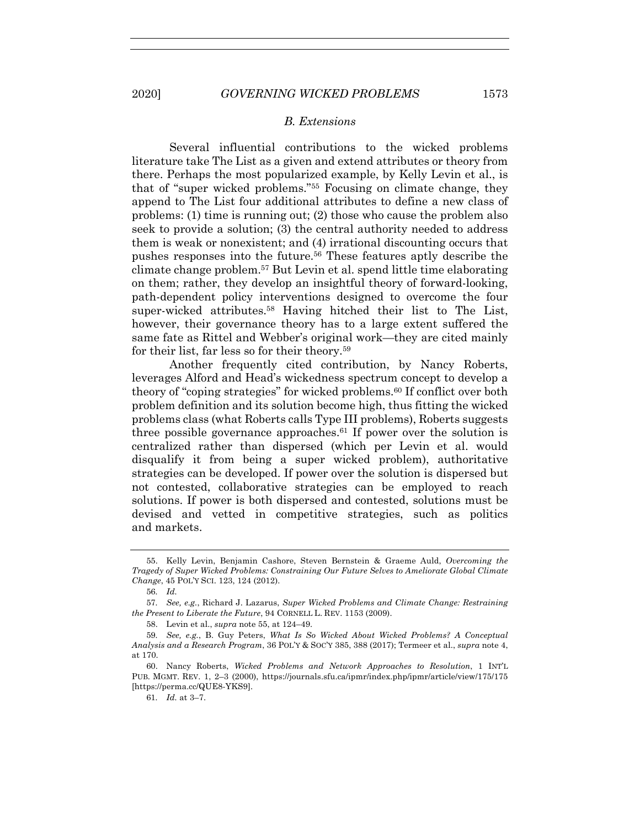#### *B. Extensions*

Several influential contributions to the wicked problems literature take The List as a given and extend attributes or theory from there. Perhaps the most popularized example, by Kelly Levin et al., is that of "super wicked problems."55 Focusing on climate change, they append to The List four additional attributes to define a new class of problems: (1) time is running out; (2) those who cause the problem also seek to provide a solution; (3) the central authority needed to address them is weak or nonexistent; and (4) irrational discounting occurs that pushes responses into the future.56 These features aptly describe the climate change problem.57 But Levin et al. spend little time elaborating on them; rather, they develop an insightful theory of forward-looking, path-dependent policy interventions designed to overcome the four super-wicked attributes.58 Having hitched their list to The List, however, their governance theory has to a large extent suffered the same fate as Rittel and Webber's original work—they are cited mainly for their list, far less so for their theory.59

Another frequently cited contribution, by Nancy Roberts, leverages Alford and Head's wickedness spectrum concept to develop a theory of "coping strategies" for wicked problems.<sup>60</sup> If conflict over both problem definition and its solution become high, thus fitting the wicked problems class (what Roberts calls Type III problems), Roberts suggests three possible governance approaches.<sup>61</sup> If power over the solution is centralized rather than dispersed (which per Levin et al. would disqualify it from being a super wicked problem), authoritative strategies can be developed. If power over the solution is dispersed but not contested, collaborative strategies can be employed to reach solutions. If power is both dispersed and contested, solutions must be devised and vetted in competitive strategies, such as politics and markets.

<sup>55.</sup> Kelly Levin, Benjamin Cashore, Steven Bernstein & Graeme Auld, *Overcoming the Tragedy of Super Wicked Problems: Constraining Our Future Selves to Ameliorate Global Climate Change*, 45 POL'Y SCI. 123, 124 (2012).

<sup>56</sup>*. Id.*

<sup>57</sup>*. See, e.g.*, Richard J. Lazarus, *Super Wicked Problems and Climate Change: Restraining the Present to Liberate the Future*, 94 CORNELL L. REV. 1153 (2009).

<sup>58.</sup> Levin et al., *supra* note 55, at 124–49.

<sup>59</sup>*. See, e.g.*, B. Guy Peters, *What Is So Wicked About Wicked Problems? A Conceptual Analysis and a Research Program*, 36 POL'Y & SOC'Y 385, 388 (2017); Termeer et al., *supra* note 4, at 170.

<sup>60.</sup> Nancy Roberts, *Wicked Problems and Network Approaches to Resolution*, 1 INT'L PUB. MGMT. REV. 1, 2–3 (2000), https://journals.sfu.ca/ipmr/index.php/ipmr/article/view/175/175 [https://perma.cc/QUE8-YKS9].

<sup>61</sup>*. Id.* at 3–7.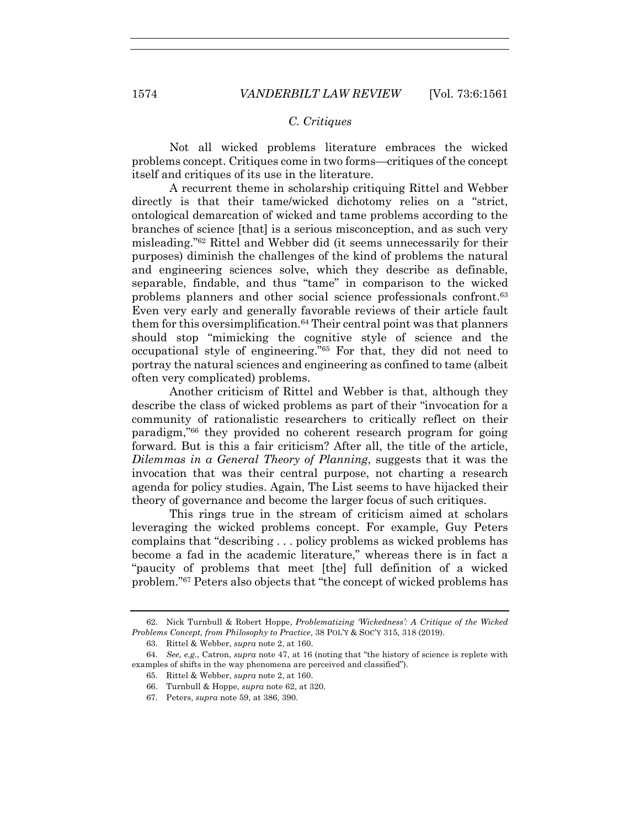# *C. Critiques*

Not all wicked problems literature embraces the wicked problems concept. Critiques come in two forms—critiques of the concept itself and critiques of its use in the literature.

A recurrent theme in scholarship critiquing Rittel and Webber directly is that their tame/wicked dichotomy relies on a "strict, ontological demarcation of wicked and tame problems according to the branches of science [that] is a serious misconception, and as such very misleading."62 Rittel and Webber did (it seems unnecessarily for their purposes) diminish the challenges of the kind of problems the natural and engineering sciences solve, which they describe as definable, separable, findable, and thus "tame" in comparison to the wicked problems planners and other social science professionals confront.63 Even very early and generally favorable reviews of their article fault them for this oversimplification.<sup>64</sup> Their central point was that planners should stop "mimicking the cognitive style of science and the occupational style of engineering."65 For that, they did not need to portray the natural sciences and engineering as confined to tame (albeit often very complicated) problems.

Another criticism of Rittel and Webber is that, although they describe the class of wicked problems as part of their "invocation for a community of rationalistic researchers to critically reflect on their paradigm,"66 they provided no coherent research program for going forward. But is this a fair criticism? After all, the title of the article, *Dilemmas in a General Theory of Planning*, suggests that it was the invocation that was their central purpose, not charting a research agenda for policy studies. Again, The List seems to have hijacked their theory of governance and become the larger focus of such critiques.

This rings true in the stream of criticism aimed at scholars leveraging the wicked problems concept. For example, Guy Peters complains that "describing . . . policy problems as wicked problems has become a fad in the academic literature," whereas there is in fact a "paucity of problems that meet [the] full definition of a wicked problem."67 Peters also objects that "the concept of wicked problems has

<sup>62.</sup> Nick Turnbull & Robert Hoppe, *Problematizing 'Wickedness': A Critique of the Wicked Problems Concept, from Philosophy to Practice*, 38 POL'Y & SOC'Y 315, 318 (2019).

<sup>63.</sup> Rittel & Webber, *supra* note 2, at 160.

<sup>64</sup>*. See, e.g.*, Catron, *supra* note 47, at 16 (noting that "the history of science is replete with examples of shifts in the way phenomena are perceived and classified").

<sup>65.</sup> Rittel & Webber, *supra* note 2, at 160.

<sup>66.</sup> Turnbull & Hoppe, *supra* note 62, at 320.

<sup>67.</sup> Peters, *supra* note 59, at 386, 390.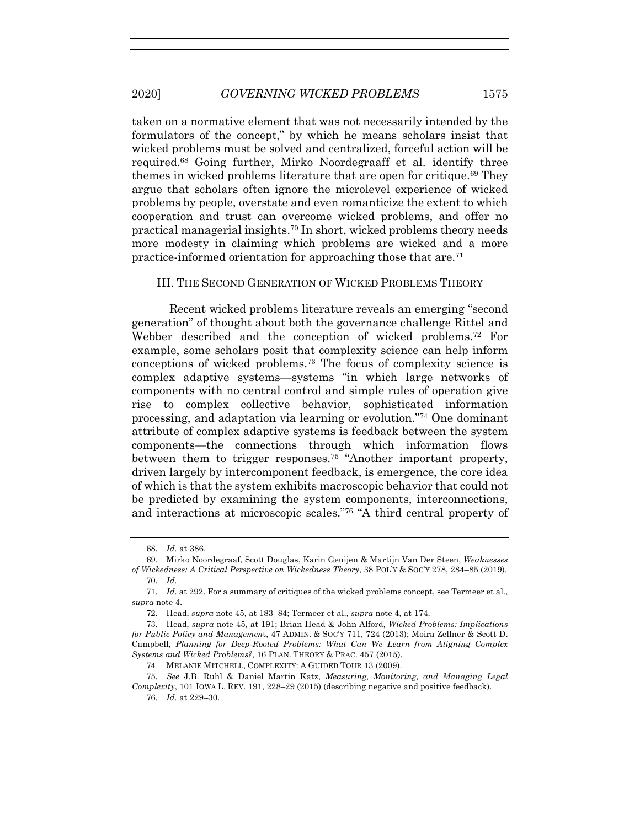taken on a normative element that was not necessarily intended by the formulators of the concept," by which he means scholars insist that wicked problems must be solved and centralized, forceful action will be required.68 Going further, Mirko Noordegraaff et al. identify three themes in wicked problems literature that are open for critique.<sup>69</sup> They argue that scholars often ignore the microlevel experience of wicked problems by people, overstate and even romanticize the extent to which cooperation and trust can overcome wicked problems, and offer no practical managerial insights.70 In short, wicked problems theory needs more modesty in claiming which problems are wicked and a more practice-informed orientation for approaching those that are.71

#### III. THE SECOND GENERATION OF WICKED PROBLEMS THEORY

Recent wicked problems literature reveals an emerging "second generation" of thought about both the governance challenge Rittel and Webber described and the conception of wicked problems.72 For example, some scholars posit that complexity science can help inform conceptions of wicked problems.73 The focus of complexity science is complex adaptive systems—systems "in which large networks of components with no central control and simple rules of operation give rise to complex collective behavior, sophisticated information processing, and adaptation via learning or evolution."74 One dominant attribute of complex adaptive systems is feedback between the system components—the connections through which information flows between them to trigger responses.75 "Another important property, driven largely by intercomponent feedback, is emergence, the core idea of which is that the system exhibits macroscopic behavior that could not be predicted by examining the system components, interconnections, and interactions at microscopic scales."76 "A third central property of

<sup>68</sup>*. Id.* at 386.

<sup>69.</sup> Mirko Noordegraaf, Scott Douglas, Karin Geuijen & Martijn Van Der Steen, *Weaknesses of Wickedness: A Critical Perspective on Wickedness Theory*, 38 POL'Y & SOC'Y 278, 284–85 (2019).

<sup>70</sup>*. Id.*

<sup>71</sup>*. Id.* at 292. For a summary of critiques of the wicked problems concept, see Termeer et al., *supra* note 4.

<sup>72.</sup> Head, *supra* note 45, at 183–84; Termeer et al., *supra* note 4, at 174.

<sup>73.</sup> Head, *supra* note 45, at 191; Brian Head & John Alford, *Wicked Problems: Implications for Public Policy and Managemen*t, 47 ADMIN. & SOC'Y 711, 724 (2013); Moira Zellner & Scott D. Campbell, *Planning for Deep-Rooted Problems: What Can We Learn from Aligning Complex Systems and Wicked Problems?*, 16 PLAN. THEORY & PRAC. 457 (2015).

<sup>74</sup> MELANIE MITCHELL, COMPLEXITY: A GUIDED TOUR 13 (2009).

<sup>75</sup>*. See* J.B. Ruhl & Daniel Martin Katz, *Measuring, Monitoring, and Managing Legal Complexity*, 101 IOWA L. REV. 191, 228–29 (2015) (describing negative and positive feedback).

<sup>76</sup>*. Id.* at 229–30.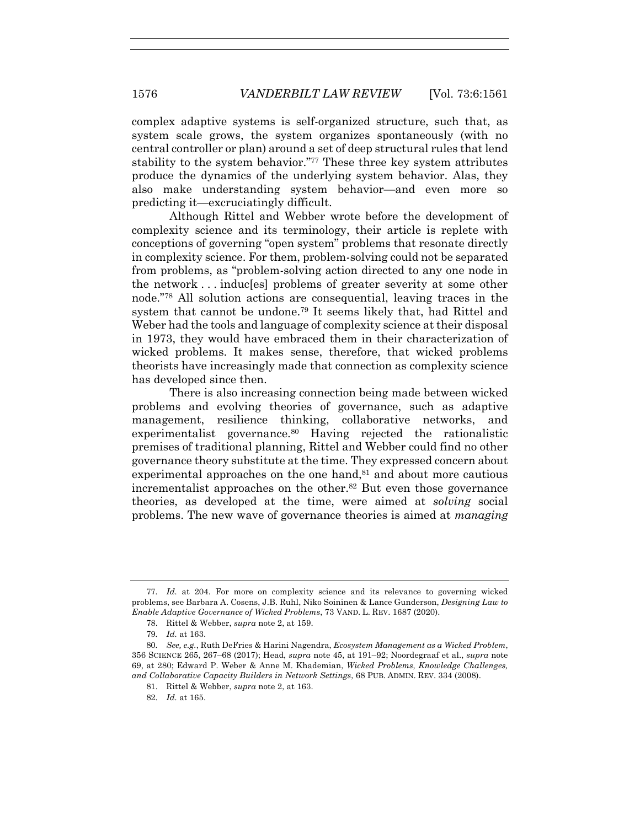complex adaptive systems is self-organized structure, such that, as system scale grows, the system organizes spontaneously (with no central controller or plan) around a set of deep structural rules that lend stability to the system behavior."77 These three key system attributes produce the dynamics of the underlying system behavior. Alas, they also make understanding system behavior—and even more so predicting it—excruciatingly difficult.

Although Rittel and Webber wrote before the development of complexity science and its terminology, their article is replete with conceptions of governing "open system" problems that resonate directly in complexity science. For them, problem-solving could not be separated from problems, as "problem-solving action directed to any one node in the network . . . induc[es] problems of greater severity at some other node."78 All solution actions are consequential, leaving traces in the system that cannot be undone.79 It seems likely that, had Rittel and Weber had the tools and language of complexity science at their disposal in 1973, they would have embraced them in their characterization of wicked problems. It makes sense, therefore, that wicked problems theorists have increasingly made that connection as complexity science has developed since then.

There is also increasing connection being made between wicked problems and evolving theories of governance, such as adaptive management, resilience thinking, collaborative networks, and experimentalist governance.80 Having rejected the rationalistic premises of traditional planning, Rittel and Webber could find no other governance theory substitute at the time. They expressed concern about experimental approaches on the one hand,<sup>81</sup> and about more cautious incrementalist approaches on the other.82 But even those governance theories, as developed at the time, were aimed at *solving* social problems. The new wave of governance theories is aimed at *managing*

<sup>77</sup>*. Id.* at 204. For more on complexity science and its relevance to governing wicked problems, see Barbara A. Cosens, J.B. Ruhl, Niko Soininen & Lance Gunderson, *Designing Law to Enable Adaptive Governance of Wicked Problems*, 73 VAND. L. REV. 1687 (2020).

<sup>78.</sup> Rittel & Webber, *supra* note 2, at 159.

<sup>79</sup>*. Id.* at 163.

<sup>80</sup>*. See, e.g.*, Ruth DeFries & Harini Nagendra, *Ecosystem Management as a Wicked Problem*, 356 SCIENCE 265, 267–68 (2017); Head, *supra* note 45, at 191–92; Noordegraaf et al., *supra* note 69, at 280; Edward P. Weber & Anne M. Khademian, *Wicked Problems, Knowledge Challenges, and Collaborative Capacity Builders in Network Settings*, 68 PUB. ADMIN. REV. 334 (2008).

<sup>81.</sup> Rittel & Webber, *supra* note 2, at 163.

<sup>82</sup>*. Id.* at 165.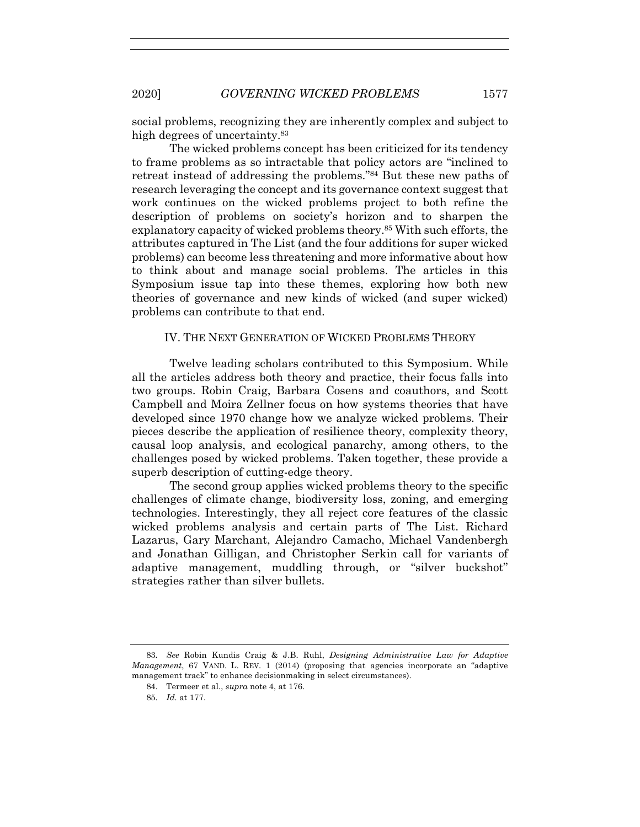social problems, recognizing they are inherently complex and subject to high degrees of uncertainty.83

The wicked problems concept has been criticized for its tendency to frame problems as so intractable that policy actors are "inclined to retreat instead of addressing the problems."84 But these new paths of research leveraging the concept and its governance context suggest that work continues on the wicked problems project to both refine the description of problems on society's horizon and to sharpen the explanatory capacity of wicked problems theory.85 With such efforts, the attributes captured in The List (and the four additions for super wicked problems) can become less threatening and more informative about how to think about and manage social problems. The articles in this Symposium issue tap into these themes, exploring how both new theories of governance and new kinds of wicked (and super wicked) problems can contribute to that end.

### IV. THE NEXT GENERATION OF WICKED PROBLEMS THEORY

Twelve leading scholars contributed to this Symposium. While all the articles address both theory and practice, their focus falls into two groups. Robin Craig, Barbara Cosens and coauthors, and Scott Campbell and Moira Zellner focus on how systems theories that have developed since 1970 change how we analyze wicked problems. Their pieces describe the application of resilience theory, complexity theory, causal loop analysis, and ecological panarchy, among others, to the challenges posed by wicked problems. Taken together, these provide a superb description of cutting-edge theory.

The second group applies wicked problems theory to the specific challenges of climate change, biodiversity loss, zoning, and emerging technologies. Interestingly, they all reject core features of the classic wicked problems analysis and certain parts of The List. Richard Lazarus, Gary Marchant, Alejandro Camacho, Michael Vandenbergh and Jonathan Gilligan, and Christopher Serkin call for variants of adaptive management, muddling through, or "silver buckshot" strategies rather than silver bullets.

<sup>83</sup>*. See* Robin Kundis Craig & J.B. Ruhl, *Designing Administrative Law for Adaptive Management*, 67 VAND. L. REV. 1 (2014) (proposing that agencies incorporate an "adaptive management track" to enhance decisionmaking in select circumstances).

<sup>84.</sup> Termeer et al., *supra* note 4, at 176.

<sup>85</sup>*. Id.* at 177.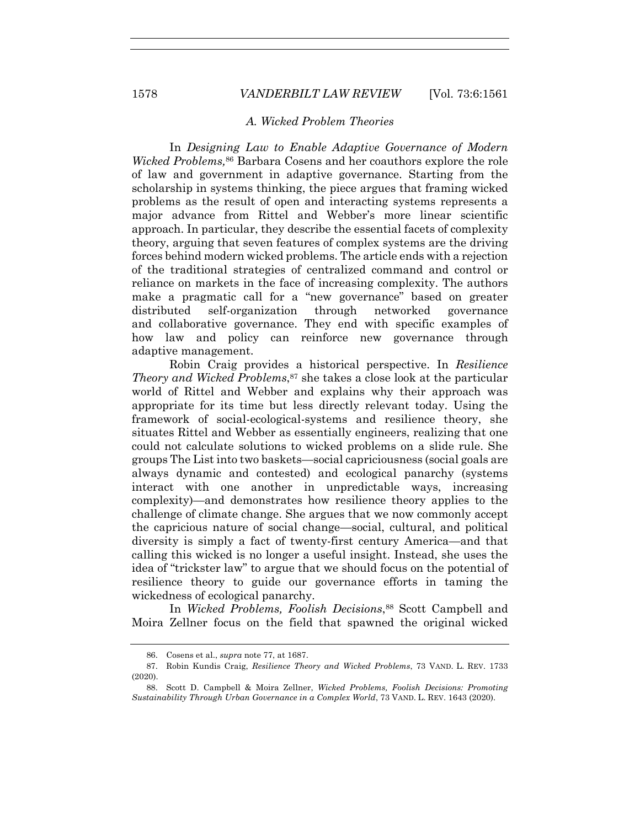#### *A. Wicked Problem Theories*

In *Designing Law to Enable Adaptive Governance of Modern Wicked Problems,*<sup>86</sup> Barbara Cosens and her coauthors explore the role of law and government in adaptive governance. Starting from the scholarship in systems thinking, the piece argues that framing wicked problems as the result of open and interacting systems represents a major advance from Rittel and Webber's more linear scientific approach. In particular, they describe the essential facets of complexity theory, arguing that seven features of complex systems are the driving forces behind modern wicked problems. The article ends with a rejection of the traditional strategies of centralized command and control or reliance on markets in the face of increasing complexity. The authors make a pragmatic call for a "new governance" based on greater distributed self-organization through networked governance and collaborative governance. They end with specific examples of how law and policy can reinforce new governance through adaptive management.

Robin Craig provides a historical perspective. In *Resilience Theory and Wicked Problems*, <sup>87</sup> she takes a close look at the particular world of Rittel and Webber and explains why their approach was appropriate for its time but less directly relevant today. Using the framework of social-ecological-systems and resilience theory, she situates Rittel and Webber as essentially engineers, realizing that one could not calculate solutions to wicked problems on a slide rule. She groups The List into two baskets—social capriciousness (social goals are always dynamic and contested) and ecological panarchy (systems interact with one another in unpredictable ways, increasing complexity)—and demonstrates how resilience theory applies to the challenge of climate change. She argues that we now commonly accept the capricious nature of social change—social, cultural, and political diversity is simply a fact of twenty-first century America—and that calling this wicked is no longer a useful insight. Instead, she uses the idea of "trickster law" to argue that we should focus on the potential of resilience theory to guide our governance efforts in taming the wickedness of ecological panarchy.

In *Wicked Problems, Foolish Decisions*,<sup>88</sup> Scott Campbell and Moira Zellner focus on the field that spawned the original wicked

<sup>86.</sup> Cosens et al., *supra* note 77, at 1687.

<sup>87.</sup> Robin Kundis Craig, *Resilience Theory and Wicked Problems*, 73 VAND. L. REV. 1733 (2020).

<sup>88.</sup> Scott D. Campbell & Moira Zellner, *Wicked Problems, Foolish Decisions: Promoting Sustainability Through Urban Governance in a Complex World*, 73 VAND. L. REV. 1643 (2020).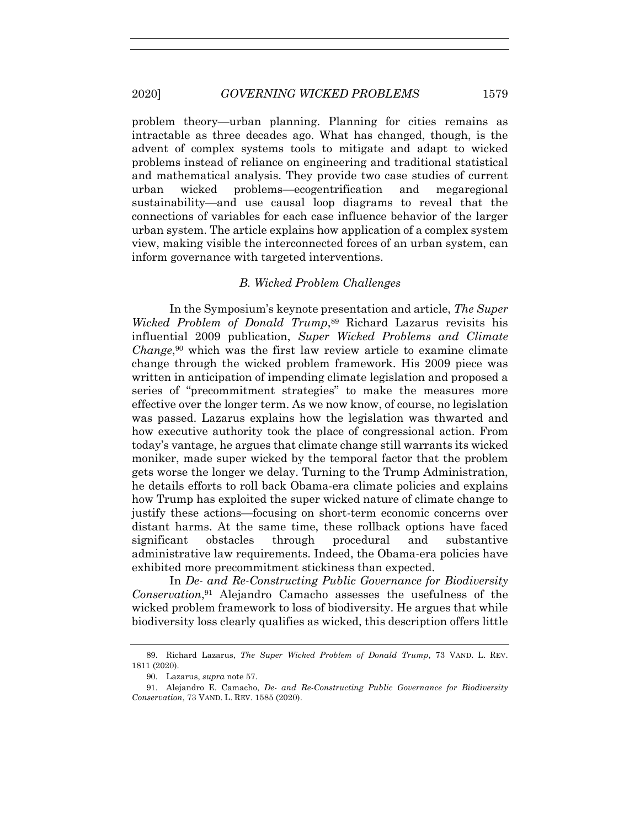problem theory—urban planning. Planning for cities remains as intractable as three decades ago. What has changed, though, is the advent of complex systems tools to mitigate and adapt to wicked problems instead of reliance on engineering and traditional statistical and mathematical analysis. They provide two case studies of current urban wicked problems—ecogentrification and megaregional sustainability—and use causal loop diagrams to reveal that the connections of variables for each case influence behavior of the larger urban system. The article explains how application of a complex system view, making visible the interconnected forces of an urban system, can inform governance with targeted interventions.

#### *B. Wicked Problem Challenges*

In the Symposium's keynote presentation and article, *The Super Wicked Problem of Donald Trump*, <sup>89</sup> Richard Lazarus revisits his influential 2009 publication, *Super Wicked Problems and Climate Change*, <sup>90</sup> which was the first law review article to examine climate change through the wicked problem framework. His 2009 piece was written in anticipation of impending climate legislation and proposed a series of "precommitment strategies" to make the measures more effective over the longer term. As we now know, of course, no legislation was passed. Lazarus explains how the legislation was thwarted and how executive authority took the place of congressional action. From today's vantage, he argues that climate change still warrants its wicked moniker, made super wicked by the temporal factor that the problem gets worse the longer we delay. Turning to the Trump Administration, he details efforts to roll back Obama-era climate policies and explains how Trump has exploited the super wicked nature of climate change to justify these actions—focusing on short-term economic concerns over distant harms. At the same time, these rollback options have faced significant obstacles through procedural and substantive administrative law requirements. Indeed, the Obama-era policies have exhibited more precommitment stickiness than expected.

In *De- and Re-Constructing Public Governance for Biodiversity Conservation*, <sup>91</sup> Alejandro Camacho assesses the usefulness of the wicked problem framework to loss of biodiversity. He argues that while biodiversity loss clearly qualifies as wicked, this description offers little

<sup>89.</sup> Richard Lazarus, *The Super Wicked Problem of Donald Trump*, 73 VAND. L. REV. 1811 (2020).

<sup>90.</sup> Lazarus, *supra* note 57.

<sup>91.</sup> Alejandro E. Camacho, *De- and Re-Constructing Public Governance for Biodiversity Conservation*, 73 VAND. L. REV. 1585 (2020).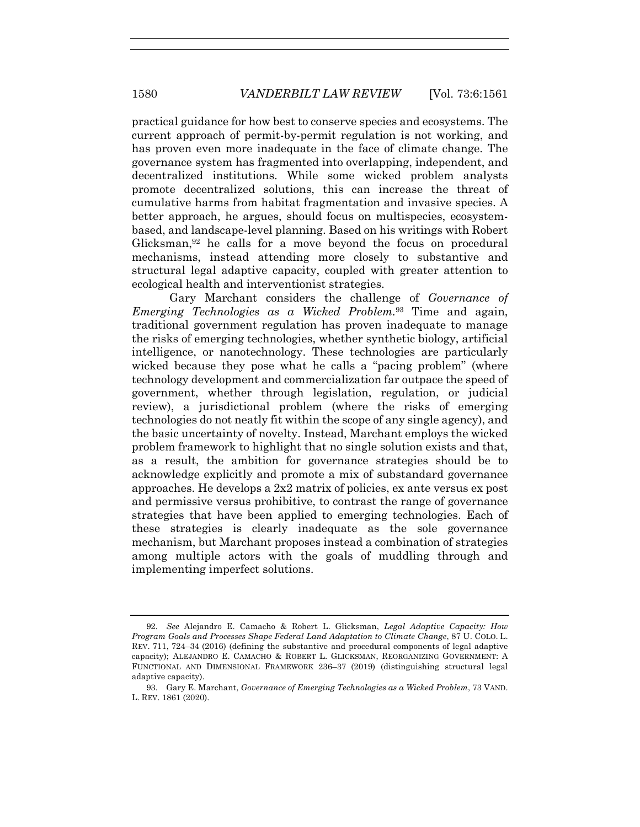practical guidance for how best to conserve species and ecosystems. The current approach of permit-by-permit regulation is not working, and has proven even more inadequate in the face of climate change. The governance system has fragmented into overlapping, independent, and decentralized institutions. While some wicked problem analysts promote decentralized solutions, this can increase the threat of cumulative harms from habitat fragmentation and invasive species. A better approach, he argues, should focus on multispecies, ecosystembased, and landscape-level planning. Based on his writings with Robert Glicksman,92 he calls for a move beyond the focus on procedural mechanisms, instead attending more closely to substantive and structural legal adaptive capacity, coupled with greater attention to ecological health and interventionist strategies.

Gary Marchant considers the challenge of *Governance of Emerging Technologies as a Wicked Problem.*<sup>93</sup> Time and again, traditional government regulation has proven inadequate to manage the risks of emerging technologies, whether synthetic biology, artificial intelligence, or nanotechnology. These technologies are particularly wicked because they pose what he calls a "pacing problem" (where technology development and commercialization far outpace the speed of government, whether through legislation, regulation, or judicial review), a jurisdictional problem (where the risks of emerging technologies do not neatly fit within the scope of any single agency), and the basic uncertainty of novelty. Instead, Marchant employs the wicked problem framework to highlight that no single solution exists and that, as a result, the ambition for governance strategies should be to acknowledge explicitly and promote a mix of substandard governance approaches. He develops a 2x2 matrix of policies, ex ante versus ex post and permissive versus prohibitive, to contrast the range of governance strategies that have been applied to emerging technologies. Each of these strategies is clearly inadequate as the sole governance mechanism, but Marchant proposes instead a combination of strategies among multiple actors with the goals of muddling through and implementing imperfect solutions.

<sup>92</sup>*. See* Alejandro E. Camacho & Robert L. Glicksman, *Legal Adaptive Capacity: How Program Goals and Processes Shape Federal Land Adaptation to Climate Change*, 87 U. COLO. L. REV. 711, 724–34 (2016) (defining the substantive and procedural components of legal adaptive capacity); ALEJANDRO E. CAMACHO & ROBERT L. GLICKSMAN, REORGANIZING GOVERNMENT: A FUNCTIONAL AND DIMENSIONAL FRAMEWORK 236–37 (2019) (distinguishing structural legal adaptive capacity).

<sup>93.</sup> Gary E. Marchant, *Governance of Emerging Technologies as a Wicked Problem*, 73 VAND. L. REV. 1861 (2020).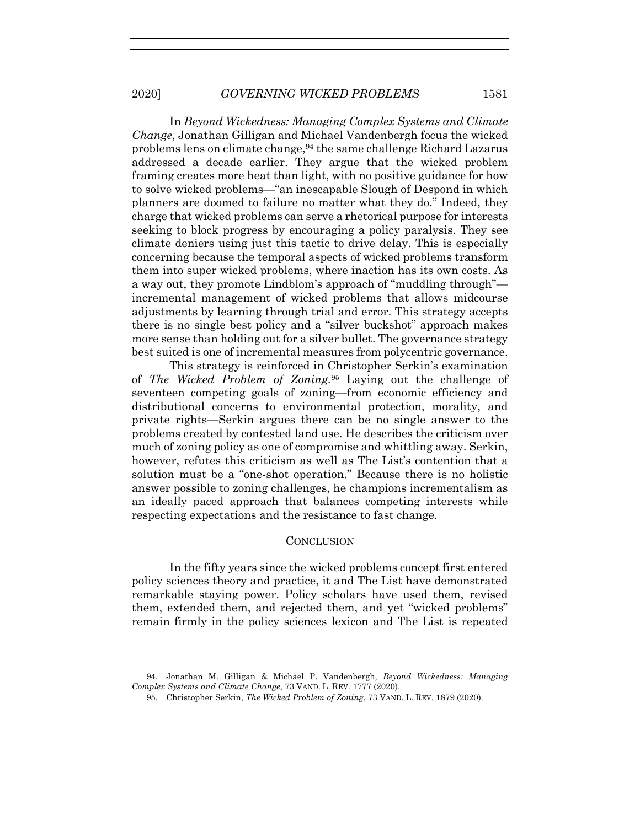In *Beyond Wickedness: Managing Complex Systems and Climate Change*, Jonathan Gilligan and Michael Vandenbergh focus the wicked problems lens on climate change,94 the same challenge Richard Lazarus addressed a decade earlier. They argue that the wicked problem framing creates more heat than light, with no positive guidance for how to solve wicked problems—"an inescapable Slough of Despond in which planners are doomed to failure no matter what they do." Indeed, they charge that wicked problems can serve a rhetorical purpose for interests seeking to block progress by encouraging a policy paralysis. They see climate deniers using just this tactic to drive delay. This is especially concerning because the temporal aspects of wicked problems transform them into super wicked problems, where inaction has its own costs. As a way out, they promote Lindblom's approach of "muddling through" incremental management of wicked problems that allows midcourse adjustments by learning through trial and error. This strategy accepts there is no single best policy and a "silver buckshot" approach makes more sense than holding out for a silver bullet. The governance strategy best suited is one of incremental measures from polycentric governance.

This strategy is reinforced in Christopher Serkin's examination of *The Wicked Problem of Zoning.*<sup>95</sup> Laying out the challenge of seventeen competing goals of zoning—from economic efficiency and distributional concerns to environmental protection, morality, and private rights—Serkin argues there can be no single answer to the problems created by contested land use. He describes the criticism over much of zoning policy as one of compromise and whittling away. Serkin, however, refutes this criticism as well as The List's contention that a solution must be a "one-shot operation." Because there is no holistic answer possible to zoning challenges, he champions incrementalism as an ideally paced approach that balances competing interests while respecting expectations and the resistance to fast change.

#### **CONCLUSION**

In the fifty years since the wicked problems concept first entered policy sciences theory and practice, it and The List have demonstrated remarkable staying power. Policy scholars have used them, revised them, extended them, and rejected them, and yet "wicked problems" remain firmly in the policy sciences lexicon and The List is repeated

<sup>94.</sup> Jonathan M. Gilligan & Michael P. Vandenbergh, *Beyond Wickedness: Managing Complex Systems and Climate Change*, 73 VAND. L. REV. 1777 (2020).

<sup>95.</sup> Christopher Serkin, *The Wicked Problem of Zoning*, 73 VAND. L. REV. 1879 (2020).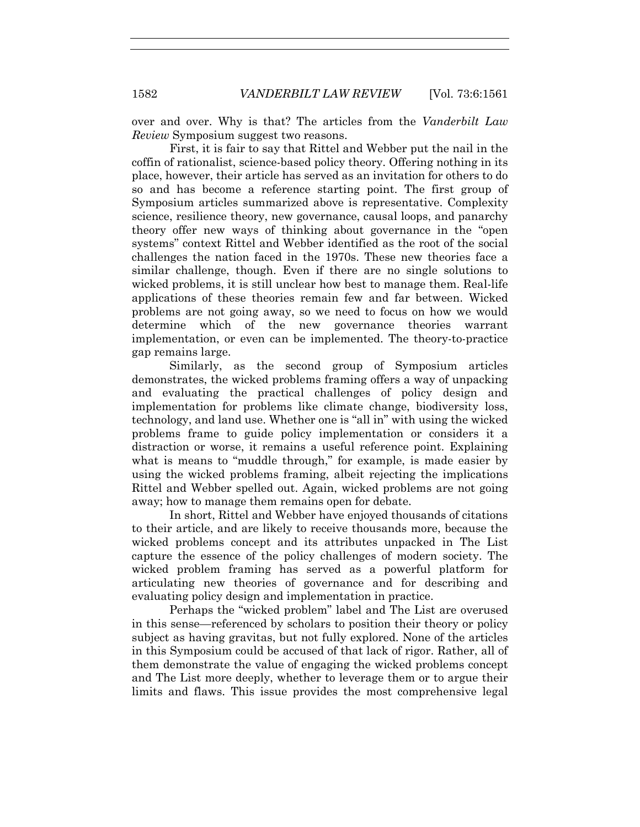over and over. Why is that? The articles from the *Vanderbilt Law Review* Symposium suggest two reasons.

First, it is fair to say that Rittel and Webber put the nail in the coffin of rationalist, science-based policy theory. Offering nothing in its place, however, their article has served as an invitation for others to do so and has become a reference starting point. The first group of Symposium articles summarized above is representative. Complexity science, resilience theory, new governance, causal loops, and panarchy theory offer new ways of thinking about governance in the "open systems" context Rittel and Webber identified as the root of the social challenges the nation faced in the 1970s. These new theories face a similar challenge, though. Even if there are no single solutions to wicked problems, it is still unclear how best to manage them. Real-life applications of these theories remain few and far between. Wicked problems are not going away, so we need to focus on how we would determine which of the new governance theories warrant implementation, or even can be implemented. The theory-to-practice gap remains large.

Similarly, as the second group of Symposium articles demonstrates, the wicked problems framing offers a way of unpacking and evaluating the practical challenges of policy design and implementation for problems like climate change, biodiversity loss, technology, and land use. Whether one is "all in" with using the wicked problems frame to guide policy implementation or considers it a distraction or worse, it remains a useful reference point. Explaining what is means to "muddle through," for example, is made easier by using the wicked problems framing, albeit rejecting the implications Rittel and Webber spelled out. Again, wicked problems are not going away; how to manage them remains open for debate.

In short, Rittel and Webber have enjoyed thousands of citations to their article, and are likely to receive thousands more, because the wicked problems concept and its attributes unpacked in The List capture the essence of the policy challenges of modern society. The wicked problem framing has served as a powerful platform for articulating new theories of governance and for describing and evaluating policy design and implementation in practice.

Perhaps the "wicked problem" label and The List are overused in this sense—referenced by scholars to position their theory or policy subject as having gravitas, but not fully explored. None of the articles in this Symposium could be accused of that lack of rigor. Rather, all of them demonstrate the value of engaging the wicked problems concept and The List more deeply, whether to leverage them or to argue their limits and flaws. This issue provides the most comprehensive legal